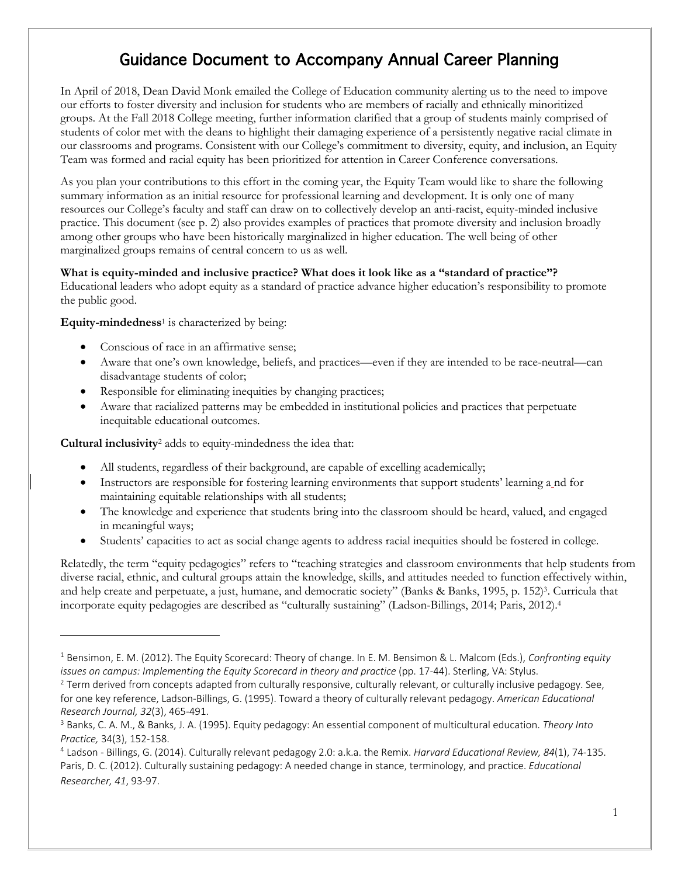## Guidance Document to Accompany Annual Career Planning

 our efforts to foster diversity and inclusion for students who are members of racially and ethnically minoritized groups. At the Fall 2018 College meeting, further information clarified that a group of students mainly comprised of students of color met with the deans to highlight their damaging experience of a persistently negative racial climate in Team was formed and racial equity has been prioritized for attention in Career Conference conversations. In April of 2018, Dean David Monk emailed the College of Education community alerting us to the need to impove our classrooms and programs. Consistent with our College's commitment to diversity, equity, and inclusion, an Equity

 As you plan your contributions to this effort in the coming year, the Equity Team would like to share the following resources our College's faculty and staff can draw on to collectively develop an anti-racist, equity-minded inclusive practice. This document (see p. 2) also provides examples of practices that promote diversity and inclusion broadly among other groups who have been historically marginalized in higher education. The well being of other summary information as an initial resource for professional learning and development. It is only one of many marginalized groups remains of central concern to us as well.

## **What is equity-minded and inclusive practice? What does it look like as a "standard of practice"?**

 Educational leaders who adopt equity as a standard of practice advance higher education's responsibility to promote the public good.

**Equity-mindedness**<sup>1</sup> is characterized by being:

- Conscious of race in an affirmative sense;
- • Aware that one's own knowledge, beliefs, and practices—even if they are intended to be race-neutral—can disadvantage students of color;
- Responsible for eliminating inequities by changing practices;
- • Aware that racialized patterns may be embedded in institutional policies and practices that perpetuate inequitable educational outcomes.

**Cultural inclusivity**<sup>2</sup> adds to equity-mindedness the idea that:

- All students, regardless of their background, are capable of excelling academically;
- maintaining equitable relationships with all students; • Instructors are responsible for fostering learning environments that support students' learning a nd for
- • The knowledge and experience that students bring into the classroom should be heard, valued, and engaged in meaningful ways;
- Students' capacities to act as social change agents to address racial inequities should be fostered in college.

 Relatedly, the term "equity pedagogies" refers to "teaching strategies and classroom environments that help students from diverse racial, ethnic, and cultural groups attain the knowledge, skills, and attitudes needed to function effectively within, and help create and perpetuate, a just, humane, and democratic society" (Banks & Banks, 1995, p. 152)<sup>3</sup>. Curricula that incorporate equity pedagogies are described as "culturally sustaining" (Ladson-Billings, 2014; Paris, 2012).4

 <sup>1</sup> Bensimon, E. M. (2012). The Equity Scorecard: Theory of change. In E. M. Bensimon & L. Malcom (Eds.), *Confronting equity*  issues on campus: Implementing the Equity Scorecard in theory and practice (pp. 17-44). Sterling, VA: Stylus. *issues on campus: Implementing the Equity Scorecard in theory and practice* (pp. 17-44). Sterling, VA: Stylus.<br><sup>2</sup> Term derived from concepts adapted from culturally responsive, culturally relevant, or culturally inclusiv

 for one key reference, Ladson-Billings, G. (1995). Toward a theory of culturally relevant pedagogy. *American Educational Research Journal, 32*(3), 465-491.<br><sup>3</sup> Banks, C. A. M., & Banks, J. A. (1995). Equity pedagogy: An essential component of multicultural education. *Theory Into* 

*Practice,* 34(3), 152-158.<br><sup>4</sup> Ladson - Billings, G. (2014). Culturally relevant pedagogy 2.0: a.k.a. the Remix. *Harvard Educational Review, 84*(1), 74-135. Paris, D. C. (2012). Culturally sustaining pedagogy: A needed change in stance, terminology, and practice. *Educational Researcher, 41*, 93-97.